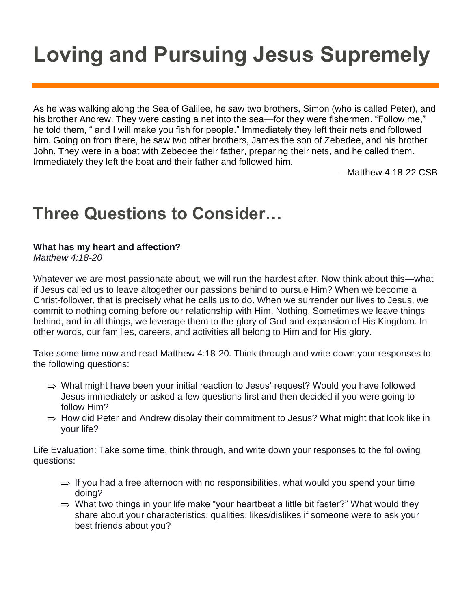# **Loving and Pursuing Jesus Supremely**

As he was walking along the Sea of Galilee, he saw two brothers, Simon (who is called Peter), and his brother Andrew. They were casting a net into the sea—for they were fishermen. "Follow me," he told them, " and I will make you fish for people." Immediately they left their nets and followed him. Going on from there, he saw two other brothers, James the son of Zebedee, and his brother John. They were in a boat with Zebedee their father, preparing their nets, and he called them. Immediately they left the boat and their father and followed him.

—Matthew 4:18-22 CSB

## **Three Questions to Consider…**

#### **What has my heart and affection?**

*Matthew 4:18-20*

Whatever we are most passionate about, we will run the hardest after. Now think about this—what if Jesus called us to leave altogether our passions behind to pursue Him? When we become a Christ-follower, that is precisely what he calls us to do. When we surrender our lives to Jesus, we commit to nothing coming before our relationship with Him. Nothing. Sometimes we leave things behind, and in all things, we leverage them to the glory of God and expansion of His Kingdom. In other words, our families, careers, and activities all belong to Him and for His glory.

Take some time now and read Matthew 4:18-20. Think through and write down your responses to the following questions:

- $\Rightarrow$  What might have been your initial reaction to Jesus' request? Would you have followed Jesus immediately or asked a few questions first and then decided if you were going to follow Him?
- $\Rightarrow$  How did Peter and Andrew display their commitment to Jesus? What might that look like in your life?

Life Evaluation: Take some time, think through, and write down your responses to the following questions:

- $\Rightarrow$  If you had a free afternoon with no responsibilities, what would you spend your time doing?
- $\Rightarrow$  What two things in your life make "your heartbeat a little bit faster?" What would they share about your characteristics, qualities, likes/dislikes if someone were to ask your best friends about you?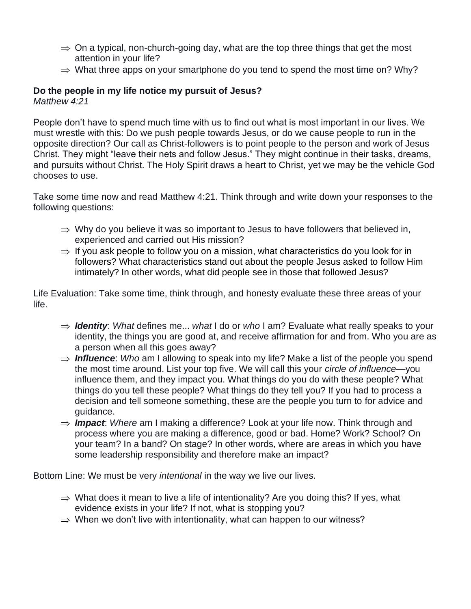- $\Rightarrow$  On a typical, non-church-going day, what are the top three things that get the most attention in your life?
- $\Rightarrow$  What three apps on your smartphone do you tend to spend the most time on? Why?

### **Do the people in my life notice my pursuit of Jesus?**

*Matthew 4:21*

People don't have to spend much time with us to find out what is most important in our lives. We must wrestle with this: Do we push people towards Jesus, or do we cause people to run in the opposite direction? Our call as Christ-followers is to point people to the person and work of Jesus Christ. They might "leave their nets and follow Jesus." They might continue in their tasks, dreams, and pursuits without Christ. The Holy Spirit draws a heart to Christ, yet we may be the vehicle God chooses to use.

Take some time now and read Matthew 4:21. Think through and write down your responses to the following questions:

- $\Rightarrow$  Why do you believe it was so important to Jesus to have followers that believed in, experienced and carried out His mission?
- $\Rightarrow$  If you ask people to follow you on a mission, what characteristics do you look for in followers? What characteristics stand out about the people Jesus asked to follow Him intimately? In other words, what did people see in those that followed Jesus?

Life Evaluation: Take some time, think through, and honesty evaluate these three areas of your life.

- *Identity*: *What* defines me... *what* I do or *who* I am? Evaluate what really speaks to your identity, the things you are good at, and receive affirmation for and from. Who you are as a person when all this goes away?
- ⇒ **Influence**: Who am I allowing to speak into my life? Make a list of the people you spend the most time around. List your top five. We will call this your *circle of influence*—you influence them, and they impact you. What things do you do with these people? What things do you tell these people? What things do they tell you? If you had to process a decision and tell someone something, these are the people you turn to for advice and guidance.
- ⇒ *Impact***:** *Where* am I making a difference? Look at your life now. Think through and process where you are making a difference, good or bad. Home? Work? School? On your team? In a band? On stage? In other words, where are areas in which you have some leadership responsibility and therefore make an impact?

Bottom Line: We must be very *intentional* in the way we live our lives.

- $\Rightarrow$  What does it mean to live a life of intentionality? Are you doing this? If yes, what evidence exists in your life? If not, what is stopping you?
- $\Rightarrow$  When we don't live with intentionality, what can happen to our witness?